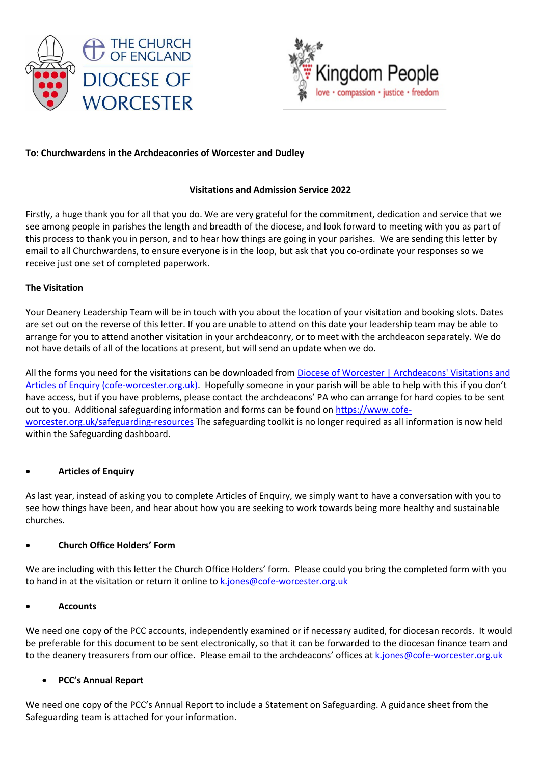



## **To: Churchwardens in the Archdeaconries of Worcester and Dudley**

## **Visitations and Admission Service 2022**

Firstly, a huge thank you for all that you do. We are very grateful for the commitment, dedication and service that we see among people in parishes the length and breadth of the diocese, and look forward to meeting with you as part of this process to thank you in person, and to hear how things are going in your parishes. We are sending this letter by email to all Churchwardens, to ensure everyone is in the loop, but ask that you co-ordinate your responses so we receive just one set of completed paperwork.

#### **The Visitation**

Your Deanery Leadership Team will be in touch with you about the location of your visitation and booking slots. Dates are set out on the reverse of this letter. If you are unable to attend on this date your leadership team may be able to arrange for you to attend another visitation in your archdeaconry, or to meet with the archdeacon separately. We do not have details of all of the locations at present, but will send an update when we do.

All the forms you need for the visitations can be downloaded from [Diocese of Worcester | Archdeacons' Visitations and](https://www.cofe-worcester.org.uk/your-church-role/churchwarden-pcc/archdeacons-visitations-and-articles-of-enquiry.php)  [Articles of Enquiry \(cofe-worcester.org.uk\).](https://www.cofe-worcester.org.uk/your-church-role/churchwarden-pcc/archdeacons-visitations-and-articles-of-enquiry.php) Hopefully someone in your parish will be able to help with this if you don't have access, but if you have problems, please contact the archdeacons' PA who can arrange for hard copies to be sent out to you. Additional safeguarding information and forms can be found o[n https://www.cofe](https://www.cofe-worcester.org.uk/safeguarding-resources)[worcester.org.uk/safeguarding-resources](https://www.cofe-worcester.org.uk/safeguarding-resources) The safeguarding toolkit is no longer required as all information is now held within the Safeguarding dashboard.

#### • **Articles of Enquiry**

As last year, instead of asking you to complete Articles of Enquiry, we simply want to have a conversation with you to see how things have been, and hear about how you are seeking to work towards being more healthy and sustainable churches.

# • **Church Office Holders' Form**

We are including with this letter the Church Office Holders' form. Please could you bring the completed form with you to hand in at the visitation or return it online t[o k.jones@cofe-worcester.org.uk](mailto:k.jones@cofe-worcester.org.uk)

#### • **Accounts**

We need one copy of the PCC accounts, independently examined or if necessary audited, for diocesan records. It would be preferable for this document to be sent electronically, so that it can be forwarded to the diocesan finance team and to the deanery treasurers from our office. Please email to the archdeacons' offices at [k.jones@cofe-worcester.org.uk](mailto:k.jones@cofe-worcester.org.uk)

#### • **PCC's Annual Report**

We need one copy of the PCC's Annual Report to include a Statement on Safeguarding. A guidance sheet from the Safeguarding team is attached for your information.